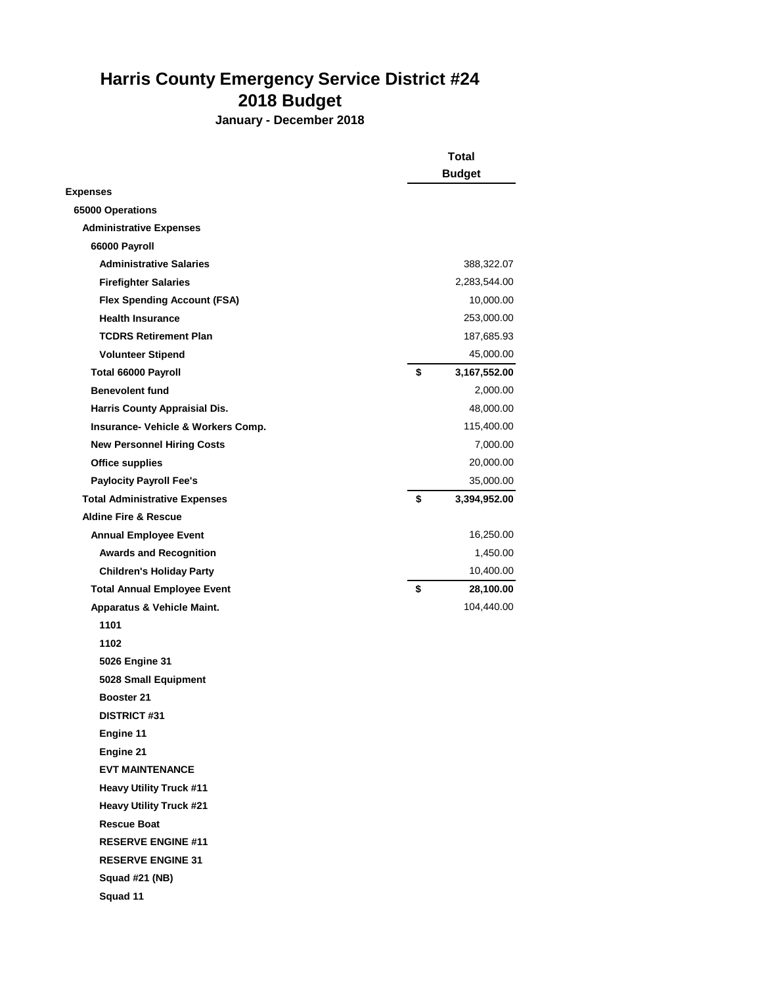## **Harris County Emergency Service District #24 2018 Budget**

**January - December 2018**

|                                      | <b>Total</b>       |  |
|--------------------------------------|--------------------|--|
|                                      | <b>Budget</b>      |  |
| <b>Expenses</b>                      |                    |  |
| 65000 Operations                     |                    |  |
| <b>Administrative Expenses</b>       |                    |  |
| 66000 Payroll                        |                    |  |
| <b>Administrative Salaries</b>       | 388,322.07         |  |
| <b>Firefighter Salaries</b>          | 2,283,544.00       |  |
| <b>Flex Spending Account (FSA)</b>   | 10,000.00          |  |
| <b>Health Insurance</b>              | 253,000.00         |  |
| <b>TCDRS Retirement Plan</b>         | 187,685.93         |  |
| <b>Volunteer Stipend</b>             | 45,000.00          |  |
| Total 66000 Payroll                  | \$<br>3,167,552.00 |  |
| <b>Benevolent fund</b>               | 2,000.00           |  |
| <b>Harris County Appraisial Dis.</b> | 48,000.00          |  |
| Insurance- Vehicle & Workers Comp.   | 115,400.00         |  |
| <b>New Personnel Hiring Costs</b>    | 7,000.00           |  |
| <b>Office supplies</b>               | 20,000.00          |  |
| <b>Paylocity Payroll Fee's</b>       | 35,000.00          |  |
| <b>Total Administrative Expenses</b> | \$<br>3,394,952.00 |  |
| <b>Aldine Fire &amp; Rescue</b>      |                    |  |
| <b>Annual Employee Event</b>         | 16,250.00          |  |
| <b>Awards and Recognition</b>        | 1,450.00           |  |
| <b>Children's Holiday Party</b>      | 10,400.00          |  |
| <b>Total Annual Employee Event</b>   | \$<br>28,100.00    |  |
| Apparatus & Vehicle Maint.           | 104,440.00         |  |
| 1101                                 |                    |  |
| 1102                                 |                    |  |
| 5026 Engine 31                       |                    |  |
| 5028 Small Equipment                 |                    |  |
| <b>Booster 21</b>                    |                    |  |
| <b>DISTRICT #31</b>                  |                    |  |
| Engine 11                            |                    |  |
| Engine 21                            |                    |  |
| <b>EVT MAINTENANCE</b>               |                    |  |
| <b>Heavy Utility Truck #11</b>       |                    |  |
| <b>Heavy Utility Truck #21</b>       |                    |  |
| <b>Rescue Boat</b>                   |                    |  |
| <b>RESERVE ENGINE #11</b>            |                    |  |
| <b>RESERVE ENGINE 31</b>             |                    |  |
| Squad #21 (NB)                       |                    |  |
| Squad 11                             |                    |  |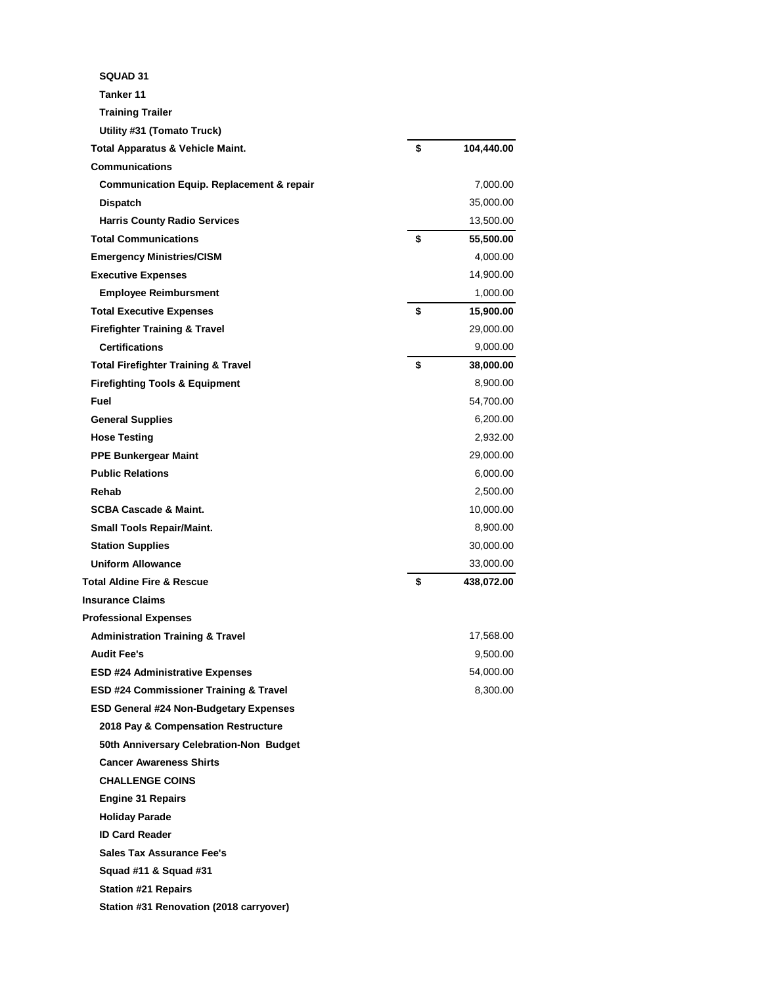| <b>SQUAD 31</b>                                      |                  |
|------------------------------------------------------|------------------|
| Tanker 11                                            |                  |
| <b>Training Trailer</b>                              |                  |
| Utility #31 (Tomato Truck)                           |                  |
| <b>Total Apparatus &amp; Vehicle Maint.</b>          | \$<br>104,440.00 |
| <b>Communications</b>                                |                  |
| <b>Communication Equip. Replacement &amp; repair</b> | 7,000.00         |
| <b>Dispatch</b>                                      | 35,000.00        |
| <b>Harris County Radio Services</b>                  | 13,500.00        |
| <b>Total Communications</b>                          | \$<br>55,500.00  |
| <b>Emergency Ministries/CISM</b>                     | 4,000.00         |
| <b>Executive Expenses</b>                            | 14,900.00        |
| <b>Employee Reimbursment</b>                         | 1,000.00         |
| <b>Total Executive Expenses</b>                      | \$<br>15,900.00  |
| <b>Firefighter Training &amp; Travel</b>             | 29,000.00        |
| <b>Certifications</b>                                | 9,000.00         |
| <b>Total Firefighter Training &amp; Travel</b>       | \$<br>38,000.00  |
| <b>Firefighting Tools &amp; Equipment</b>            | 8,900.00         |
| Fuel                                                 | 54,700.00        |
| <b>General Supplies</b>                              | 6,200.00         |
| <b>Hose Testing</b>                                  | 2,932.00         |
| <b>PPE Bunkergear Maint</b>                          | 29,000.00        |
| <b>Public Relations</b>                              | 6,000.00         |
| Rehab                                                | 2,500.00         |
| <b>SCBA Cascade &amp; Maint.</b>                     | 10,000.00        |
| <b>Small Tools Repair/Maint.</b>                     | 8,900.00         |
| <b>Station Supplies</b>                              | 30,000.00        |
| <b>Uniform Allowance</b>                             | 33,000.00        |
| <b>Total Aldine Fire &amp; Rescue</b>                | \$<br>438,072.00 |
| <b>Insurance Claims</b>                              |                  |
| <b>Professional Expenses</b>                         |                  |
| <b>Administration Training &amp; Travel</b>          | 17,568.00        |
| <b>Audit Fee's</b>                                   | 9,500.00         |
| <b>ESD #24 Administrative Expenses</b>               | 54,000.00        |
| <b>ESD #24 Commissioner Training &amp; Travel</b>    | 8,300.00         |
| <b>ESD General #24 Non-Budgetary Expenses</b>        |                  |
| 2018 Pay & Compensation Restructure                  |                  |
| 50th Anniversary Celebration-Non Budget              |                  |
| <b>Cancer Awareness Shirts</b>                       |                  |
| <b>CHALLENGE COINS</b>                               |                  |
| <b>Engine 31 Repairs</b>                             |                  |
| <b>Holiday Parade</b>                                |                  |
| <b>ID Card Reader</b>                                |                  |
| <b>Sales Tax Assurance Fee's</b>                     |                  |
| Squad #11 & Squad #31                                |                  |
| <b>Station #21 Repairs</b>                           |                  |
| Station #31 Renovation (2018 carryover)              |                  |
|                                                      |                  |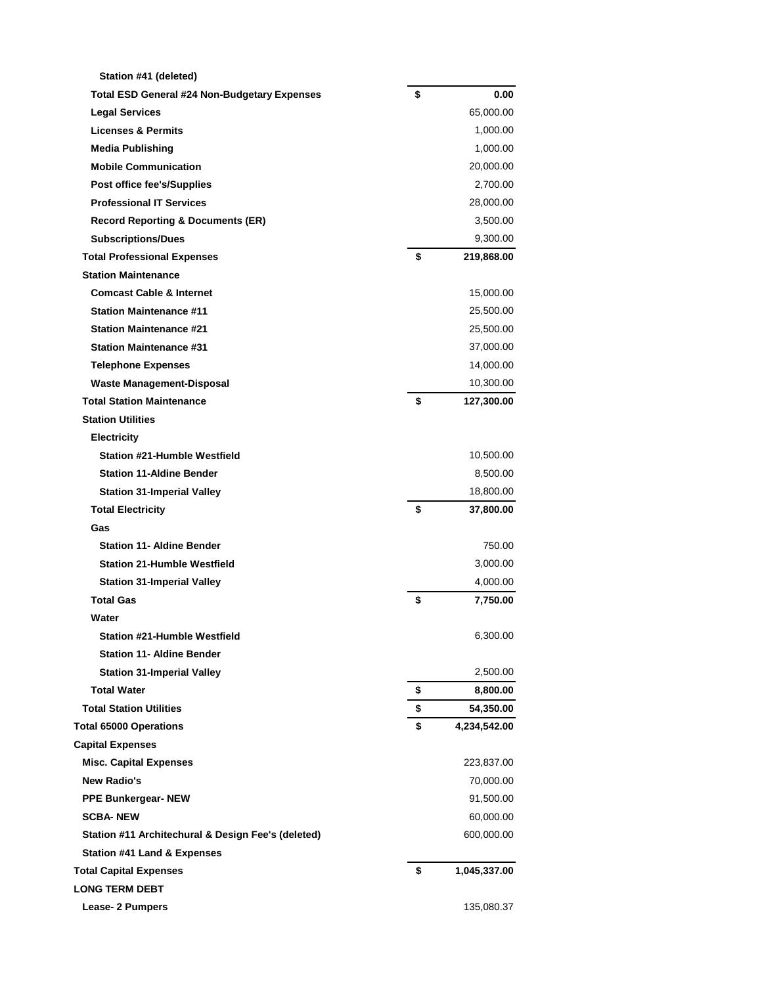| Station #41 (deleted)                               |                    |
|-----------------------------------------------------|--------------------|
| <b>Total ESD General #24 Non-Budgetary Expenses</b> | \$<br>0.00         |
| Legal Services                                      | 65,000.00          |
| <b>Licenses &amp; Permits</b>                       | 1,000.00           |
| <b>Media Publishing</b>                             | 1,000.00           |
| <b>Mobile Communication</b>                         | 20,000.00          |
| Post office fee's/Supplies                          | 2,700.00           |
| <b>Professional IT Services</b>                     | 28,000.00          |
| <b>Record Reporting &amp; Documents (ER)</b>        | 3,500.00           |
| <b>Subscriptions/Dues</b>                           | 9,300.00           |
| <b>Total Professional Expenses</b>                  | \$<br>219,868.00   |
| <b>Station Maintenance</b>                          |                    |
| <b>Comcast Cable &amp; Internet</b>                 | 15,000.00          |
| <b>Station Maintenance #11</b>                      | 25,500.00          |
| <b>Station Maintenance #21</b>                      | 25,500.00          |
| <b>Station Maintenance #31</b>                      | 37,000.00          |
| <b>Telephone Expenses</b>                           | 14,000.00          |
| <b>Waste Management-Disposal</b>                    | 10,300.00          |
| <b>Total Station Maintenance</b>                    | \$<br>127,300.00   |
| <b>Station Utilities</b>                            |                    |
| <b>Electricity</b>                                  |                    |
| <b>Station #21-Humble Westfield</b>                 | 10,500.00          |
| <b>Station 11-Aldine Bender</b>                     | 8,500.00           |
| <b>Station 31-Imperial Valley</b>                   | 18,800.00          |
| <b>Total Electricity</b>                            | \$<br>37,800.00    |
| Gas                                                 |                    |
| <b>Station 11- Aldine Bender</b>                    | 750.00             |
| <b>Station 21-Humble Westfield</b>                  | 3,000.00           |
| <b>Station 31-Imperial Valley</b>                   | 4,000.00           |
| <b>Total Gas</b>                                    | \$<br>7,750.00     |
| Water                                               |                    |
| <b>Station #21-Humble Westfield</b>                 | 6,300.00           |
| <b>Station 11- Aldine Bender</b>                    |                    |
| <b>Station 31-Imperial Valley</b>                   | 2,500.00           |
| <b>Total Water</b>                                  | \$<br>8,800.00     |
| <b>Total Station Utilities</b>                      | \$<br>54,350.00    |
| <b>Total 65000 Operations</b>                       | \$<br>4,234,542.00 |
| <b>Capital Expenses</b>                             |                    |
| <b>Misc. Capital Expenses</b>                       | 223,837.00         |
| New Radio's                                         | 70,000.00          |
| <b>PPE Bunkergear-NEW</b>                           | 91,500.00          |
| <b>SCBA-NEW</b>                                     | 60,000.00          |
| Station #11 Architechural & Design Fee's (deleted)  | 600,000.00         |
| <b>Station #41 Land &amp; Expenses</b>              |                    |
| <b>Total Capital Expenses</b>                       | \$<br>1,045,337.00 |
| <b>LONG TERM DEBT</b>                               |                    |
| Lease- 2 Pumpers                                    | 135,080.37         |
|                                                     |                    |